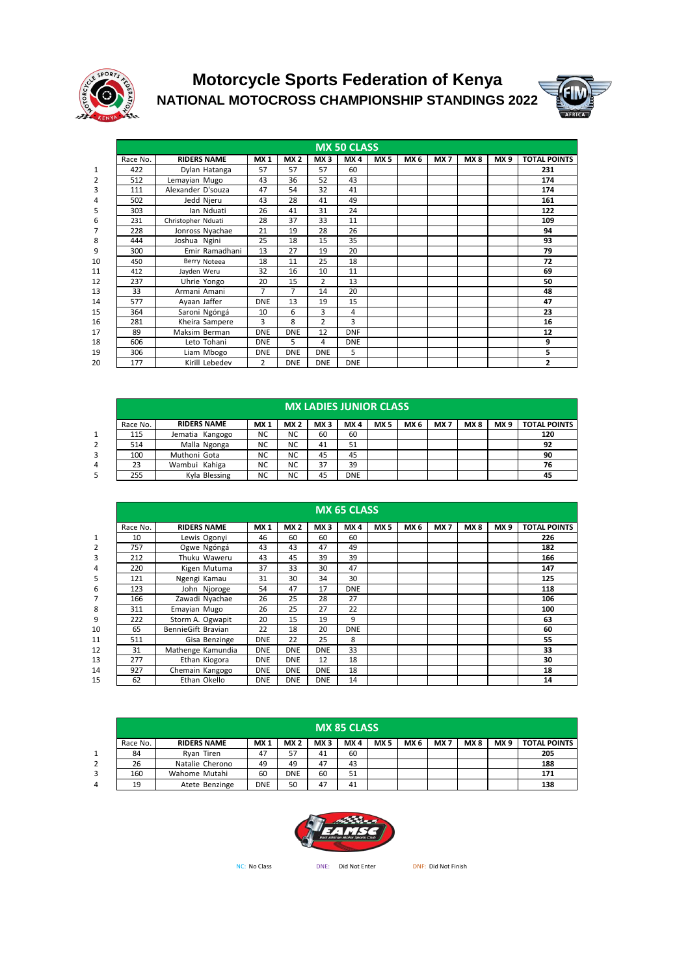

## **NATIONAL MOTOCROSS CHAMPIONSHIP STANDINGS 2022 Motorcycle Sports Federation of Kenya**



|    | <b>MX 50 CLASS</b> |                    |                |            |                 |            |                 |                 |                 |     |                 |                     |  |  |  |
|----|--------------------|--------------------|----------------|------------|-----------------|------------|-----------------|-----------------|-----------------|-----|-----------------|---------------------|--|--|--|
|    | Race No.           | <b>RIDERS NAME</b> | <b>MX1</b>     | <b>MX2</b> | MX <sub>3</sub> | MX4        | MX <sub>5</sub> | MX <sub>6</sub> | MX <sub>7</sub> | MX8 | MX <sub>9</sub> | <b>TOTAL POINTS</b> |  |  |  |
| 1  | 422                | Dylan Hatanga      | 57             | 57         | 57              | 60         |                 |                 |                 |     |                 | 231                 |  |  |  |
| 2  | 512                | Lemayian Mugo      | 43             | 36         | 52              | 43         |                 |                 |                 |     |                 | 174                 |  |  |  |
| 3  | 111                | Alexander D'souza  | 47             | 54         | 32              | 41         |                 |                 |                 |     |                 | 174                 |  |  |  |
| 4  | 502                | Jedd Njeru         | 43             | 28         | 41              | 49         |                 |                 |                 |     |                 | 161                 |  |  |  |
| 5  | 303                | lan Nduati         | 26             | 41         | 31              | 24         |                 |                 |                 |     |                 | 122                 |  |  |  |
| 6  | 231                | Christopher Nduati | 28             | 37         | 33              | 11         |                 |                 |                 |     |                 | 109                 |  |  |  |
| 7  | 228                | Jonross Nyachae    | 21             | 19         | 28              | 26         |                 |                 |                 |     |                 | 94                  |  |  |  |
| 8  | 444                | Joshua Ngini       | 25             | 18         | 15              | 35         |                 |                 |                 |     |                 | 93                  |  |  |  |
| 9  | 300                | Emir Ramadhani     | 13             | 27         | 19              | 20         |                 |                 |                 |     |                 | 79                  |  |  |  |
| 10 | 450                | Berry Noteea       | 18             | 11         | 25              | 18         |                 |                 |                 |     |                 | 72                  |  |  |  |
| 11 | 412                | Jayden Weru        | 32             | 16         | 10              | 11         |                 |                 |                 |     |                 | 69                  |  |  |  |
| 12 | 237                | Uhrie Yongo        | 20             | 15         | $\overline{2}$  | 13         |                 |                 |                 |     |                 | 50                  |  |  |  |
| 13 | 33                 | Armani Amani       | 7              | 7          | 14              | 20         |                 |                 |                 |     |                 | 48                  |  |  |  |
| 14 | 577                | Ayaan Jaffer       | <b>DNE</b>     | 13         | 19              | 15         |                 |                 |                 |     |                 | 47                  |  |  |  |
| 15 | 364                | Saroni Ngóngá      | 10             | 6          | 3               | 4          |                 |                 |                 |     |                 | 23                  |  |  |  |
| 16 | 281                | Kheira Sampere     | 3              | 8          | $\overline{2}$  | 3          |                 |                 |                 |     |                 | 16                  |  |  |  |
| 17 | 89                 | Maksim Berman      | <b>DNE</b>     | <b>DNE</b> | 12              | <b>DNF</b> |                 |                 |                 |     |                 | 12                  |  |  |  |
| 18 | 606                | Leto Tohani        | <b>DNE</b>     | 5          | 4               | <b>DNE</b> |                 |                 |                 |     |                 | 9                   |  |  |  |
| 19 | 306                | Liam Mbogo         | <b>DNE</b>     | <b>DNE</b> | <b>DNE</b>      | 5          |                 |                 |                 |     |                 | 5                   |  |  |  |
| 20 | 177                | Kirill Lebedev     | $\overline{2}$ | <b>DNE</b> | <b>DNE</b>      | <b>DNE</b> |                 |                 |                 |     |                 | 2                   |  |  |  |

|   | <b>MX LADIES JUNIOR CLASS</b> |                    |                 |            |                 |            |                 |      |                 |      |                 |                     |  |  |  |
|---|-------------------------------|--------------------|-----------------|------------|-----------------|------------|-----------------|------|-----------------|------|-----------------|---------------------|--|--|--|
|   | Race No.                      | <b>RIDERS NAME</b> | MX <sub>1</sub> | <b>MX2</b> | MX <sub>3</sub> | MX4        | MX <sub>5</sub> | MX 6 | MX <sub>7</sub> | MX 8 | MX <sub>9</sub> | <b>TOTAL POINTS</b> |  |  |  |
| 1 | 115                           | Jematia Kangogo    | <b>NC</b>       | <b>NC</b>  | 60              | 60         |                 |      |                 |      |                 | 120                 |  |  |  |
| 2 | 514                           | Malla Ngonga       | <b>NC</b>       | <b>NC</b>  | 41              | 51         |                 |      |                 |      |                 | 92                  |  |  |  |
| 3 | 100                           | Muthoni Gota       | <b>NC</b>       | <b>NC</b>  | 45              | 45         |                 |      |                 |      |                 | 90                  |  |  |  |
|   | 23                            | Wambui Kahiga      | <b>NC</b>       | <b>NC</b>  | 37              | 39         |                 |      |                 |      |                 | 76                  |  |  |  |
| 5 | 255                           | Kyla Blessing      | <b>NC</b>       | <b>NC</b>  | 45              | <b>DNE</b> |                 |      |                 |      |                 | 45                  |  |  |  |

|                | <b>MX 65 CLASS</b> |                    |            |            |                 |            |            |                 |                 |     |                 |                     |  |  |
|----------------|--------------------|--------------------|------------|------------|-----------------|------------|------------|-----------------|-----------------|-----|-----------------|---------------------|--|--|
|                | Race No.           | <b>RIDERS NAME</b> | <b>MX1</b> | <b>MX2</b> | MX <sub>3</sub> | MX4        | <b>MX5</b> | MX <sub>6</sub> | MX <sub>7</sub> | MX8 | MX <sub>9</sub> | <b>TOTAL POINTS</b> |  |  |
| 1              | 10                 | Lewis Ogonyi       | 46         | 60         | 60              | 60         |            |                 |                 |     |                 | 226                 |  |  |
| $\overline{2}$ | 757                | Ogwe Ngóngá        | 43         | 43         | 47              | 49         |            |                 |                 |     |                 | 182                 |  |  |
| 3              | 212                | Thuku Waweru       | 43         | 45         | 39              | 39         |            |                 |                 |     |                 | 166                 |  |  |
| 4              | 220                | Kigen Mutuma       | 37         | 33         | 30              | 47         |            |                 |                 |     |                 | 147                 |  |  |
| 5              | 121                | Ngengi Kamau       | 31         | 30         | 34              | 30         |            |                 |                 |     |                 | 125                 |  |  |
| 6              | 123                | John Njoroge       | 54         | 47         | 17              | <b>DNE</b> |            |                 |                 |     |                 | 118                 |  |  |
| 7              | 166                | Zawadi Nyachae     | 26         | 25         | 28              | 27         |            |                 |                 |     |                 | 106                 |  |  |
| 8              | 311                | Emayian Mugo       | 26         | 25         | 27              | 22         |            |                 |                 |     |                 | 100                 |  |  |
| 9              | 222                | Storm A. Ogwapit   | 20         | 15         | 19              | 9          |            |                 |                 |     |                 | 63                  |  |  |
| 10             | 65                 | BennieGift Bravian | 22         | 18         | 20              | <b>DNE</b> |            |                 |                 |     |                 | 60                  |  |  |
| 11             | 511                | Gisa Benzinge      | <b>DNE</b> | 22         | 25              | 8          |            |                 |                 |     |                 | 55                  |  |  |
| 12             | 31                 | Mathenge Kamundia  | <b>DNE</b> | <b>DNE</b> | <b>DNE</b>      | 33         |            |                 |                 |     |                 | 33                  |  |  |
| 13             | 277                | Ethan Kiogora      | <b>DNE</b> | <b>DNE</b> | 12              | 18         |            |                 |                 |     |                 | 30                  |  |  |
| 14             | 927                | Chemain Kangogo    | <b>DNE</b> | <b>DNE</b> | <b>DNE</b>      | 18         |            |                 |                 |     |                 | 18                  |  |  |
| 15             | 62                 | Ethan Okello       | <b>DNE</b> | <b>DNE</b> | <b>DNE</b>      | 14         |            |                 |                 |     |                 | 14                  |  |  |

|   | <b>MX 85 CLASS</b> |                    |                 |            |                 |     |                 |      |                 |      |                 |                     |  |  |
|---|--------------------|--------------------|-----------------|------------|-----------------|-----|-----------------|------|-----------------|------|-----------------|---------------------|--|--|
|   | Race No.           | <b>RIDERS NAME</b> | MX <sub>1</sub> | <b>MX2</b> | MX <sub>3</sub> | MX4 | MX <sub>5</sub> | MX 6 | MX <sub>7</sub> | MX 8 | MX <sub>9</sub> | <b>TOTAL POINTS</b> |  |  |
| 1 | 84                 | Ryan Tiren         | 47              | 57         | 41              | 60  |                 |      |                 |      |                 | 205                 |  |  |
|   | 26                 | Natalie Cherono    | 49              | 49         | 47              | 43  |                 |      |                 |      |                 | 188                 |  |  |
| 3 | 160                | Wahome Mutahi      | 60              | <b>DNE</b> | 60              | 51  |                 |      |                 |      |                 | 171                 |  |  |
| 4 | 19                 | Atete Benzinge     | <b>DNE</b>      | 50         | 47              | 41  |                 |      |                 |      |                 | 138                 |  |  |



nc: No Class **DID DIGE:** Did Not Enter DNF: Did Not Finish